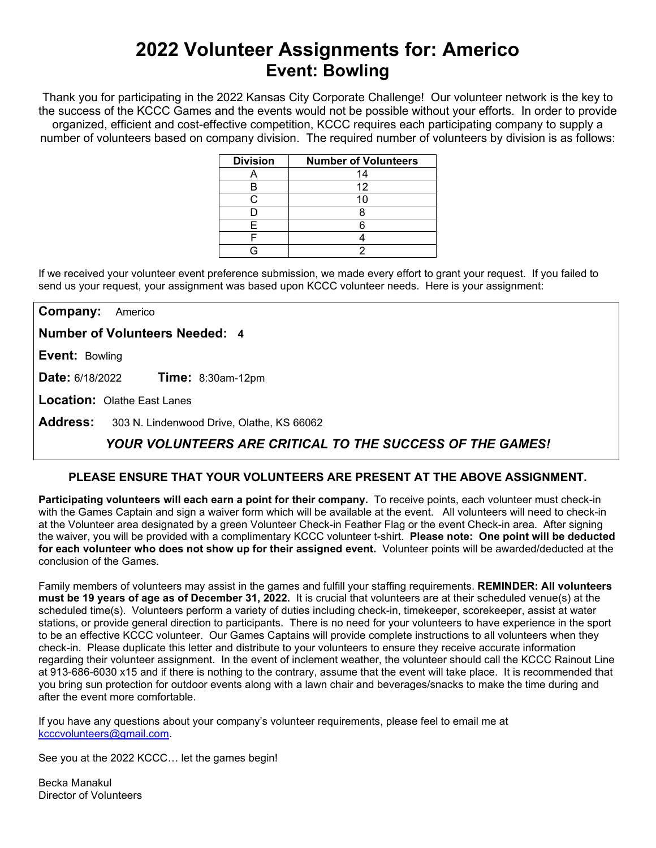# **2022 Volunteer Assignments for: Americo Event: Bowling**

Thank you for participating in the 2022 Kansas City Corporate Challenge! Our volunteer network is the key to the success of the KCCC Games and the events would not be possible without your efforts.In order to provide organized, efficient and cost-effective competition, KCCC requires each participating company to supply a number of volunteers based on company division. The required number of volunteers by division is as follows:

| <b>Division</b> | <b>Number of Volunteers</b> |
|-----------------|-----------------------------|
|                 | 14                          |
|                 | 12                          |
|                 |                             |
|                 |                             |
|                 |                             |
|                 |                             |
|                 |                             |

If we received your volunteer event preference submission, we made every effort to grant your request. If you failed to send us your request, your assignment was based upon KCCC volunteer needs. Here is your assignment:

**Company:** Americo

**Number of Volunteers Needed: 4**

**Event:** Bowling

**Date:** 6/18/2022 **Time:** 8:30am-12pm

**Location:** Olathe East Lanes

**Address:** 303 N. Lindenwood Drive, Olathe, KS 66062

## *YOUR VOLUNTEERS ARE CRITICAL TO THE SUCCESS OF THE GAMES!*

#### **PLEASE ENSURE THAT YOUR VOLUNTEERS ARE PRESENT AT THE ABOVE ASSIGNMENT.**

**Participating volunteers will each earn a point for their company.** To receive points, each volunteer must check-in with the Games Captain and sign a waiver form which will be available at the event. All volunteers will need to check-in at the Volunteer area designated by a green Volunteer Check-in Feather Flag or the event Check-in area. After signing the waiver, you will be provided with a complimentary KCCC volunteer t-shirt. **Please note: One point will be deducted for each volunteer who does not show up for their assigned event.** Volunteer points will be awarded/deducted at the conclusion of the Games.

Family members of volunteers may assist in the games and fulfill your staffing requirements. **REMINDER: All volunteers must be 19 years of age as of December 31, 2022.** It is crucial that volunteers are at their scheduled venue(s) at the scheduled time(s). Volunteers perform a variety of duties including check-in, timekeeper, scorekeeper, assist at water stations, or provide general direction to participants. There is no need for your volunteers to have experience in the sport to be an effective KCCC volunteer. Our Games Captains will provide complete instructions to all volunteers when they check-in. Please duplicate this letter and distribute to your volunteers to ensure they receive accurate information regarding their volunteer assignment. In the event of inclement weather, the volunteer should call the KCCC Rainout Line at 913-686-6030 x15 and if there is nothing to the contrary, assume that the event will take place. It is recommended that you bring sun protection for outdoor events along with a lawn chair and beverages/snacks to make the time during and after the event more comfortable.

If you have any questions about your company's volunteer requirements, please feel to email me at [kcccvolunteers@gmail.com.](mailto:kcccvolunteers@gmail.com)

See you at the 2022 KCCC… let the games begin!

Becka Manakul Director of Volunteers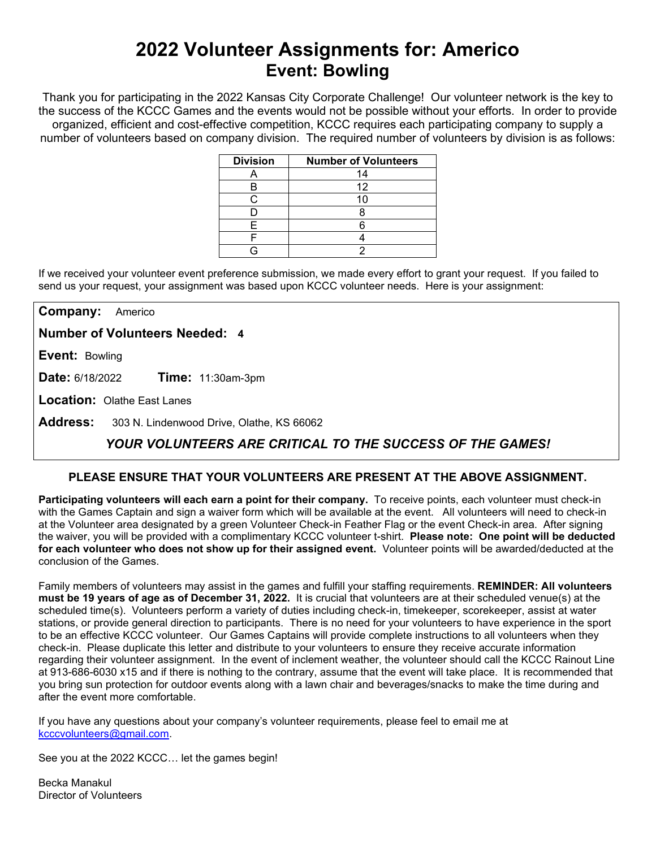# **2022 Volunteer Assignments for: Americo Event: Bowling**

Thank you for participating in the 2022 Kansas City Corporate Challenge! Our volunteer network is the key to the success of the KCCC Games and the events would not be possible without your efforts.In order to provide organized, efficient and cost-effective competition, KCCC requires each participating company to supply a number of volunteers based on company division. The required number of volunteers by division is as follows:

| <b>Division</b> | <b>Number of Volunteers</b> |
|-----------------|-----------------------------|
|                 | 14                          |
|                 | 12                          |
|                 |                             |
|                 |                             |
|                 |                             |
|                 |                             |
|                 |                             |

If we received your volunteer event preference submission, we made every effort to grant your request. If you failed to send us your request, your assignment was based upon KCCC volunteer needs. Here is your assignment:

**Company:** Americo

**Number of Volunteers Needed: 4**

**Event:** Bowling

**Date:** 6/18/2022 **Time:** 11:30am-3pm

**Location:** Olathe East Lanes

**Address:** 303 N. Lindenwood Drive, Olathe, KS 66062

## *YOUR VOLUNTEERS ARE CRITICAL TO THE SUCCESS OF THE GAMES!*

#### **PLEASE ENSURE THAT YOUR VOLUNTEERS ARE PRESENT AT THE ABOVE ASSIGNMENT.**

**Participating volunteers will each earn a point for their company.** To receive points, each volunteer must check-in with the Games Captain and sign a waiver form which will be available at the event. All volunteers will need to check-in at the Volunteer area designated by a green Volunteer Check-in Feather Flag or the event Check-in area. After signing the waiver, you will be provided with a complimentary KCCC volunteer t-shirt. **Please note: One point will be deducted for each volunteer who does not show up for their assigned event.** Volunteer points will be awarded/deducted at the conclusion of the Games.

Family members of volunteers may assist in the games and fulfill your staffing requirements. **REMINDER: All volunteers must be 19 years of age as of December 31, 2022.** It is crucial that volunteers are at their scheduled venue(s) at the scheduled time(s). Volunteers perform a variety of duties including check-in, timekeeper, scorekeeper, assist at water stations, or provide general direction to participants. There is no need for your volunteers to have experience in the sport to be an effective KCCC volunteer. Our Games Captains will provide complete instructions to all volunteers when they check-in. Please duplicate this letter and distribute to your volunteers to ensure they receive accurate information regarding their volunteer assignment. In the event of inclement weather, the volunteer should call the KCCC Rainout Line at 913-686-6030 x15 and if there is nothing to the contrary, assume that the event will take place. It is recommended that you bring sun protection for outdoor events along with a lawn chair and beverages/snacks to make the time during and after the event more comfortable.

If you have any questions about your company's volunteer requirements, please feel to email me at [kcccvolunteers@gmail.com.](mailto:kcccvolunteers@gmail.com)

See you at the 2022 KCCC… let the games begin!

Becka Manakul Director of Volunteers